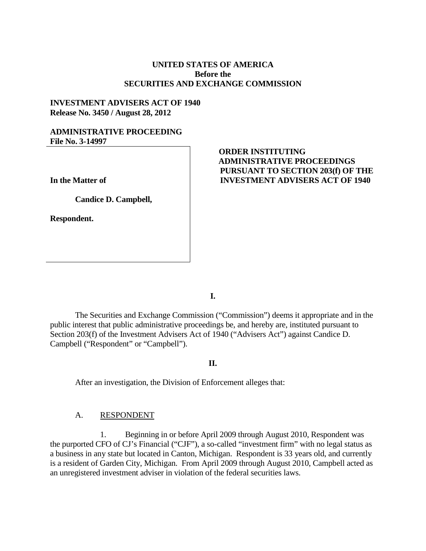## **UNITED STATES OF AMERICA Before the SECURITIES AND EXCHANGE COMMISSION**

## **INVESTMENT ADVISERS ACT OF 1940 Release No. 3450 / August 28, 2012**

### **ADMINISTRATIVE PROCEEDING File No. 3-14997**

**In the Matter of**

**Candice D. Campbell,** 

**Respondent.**

# **ORDER INSTITUTING ADMINISTRATIVE PROCEEDINGS PURSUANT TO SECTION 203(f) OF THE INVESTMENT ADVISERS ACT OF 1940**

**I.**

The Securities and Exchange Commission ("Commission") deems it appropriate and in the public interest that public administrative proceedings be, and hereby are, instituted pursuant to Section 203(f) of the Investment Advisers Act of 1940 ("Advisers Act") against Candice D. Campbell ("Respondent" or "Campbell").

#### **II.**

After an investigation, the Division of Enforcement alleges that:

#### A. RESPONDENT

1. Beginning in or before April 2009 through August 2010, Respondent was the purported CFO of CJ's Financial ("CJF"), a so-called "investment firm" with no legal status as a business in any state but located in Canton, Michigan. Respondent is 33 years old, and currently is a resident of Garden City, Michigan. From April 2009 through August 2010, Campbell acted as an unregistered investment adviser in violation of the federal securities laws.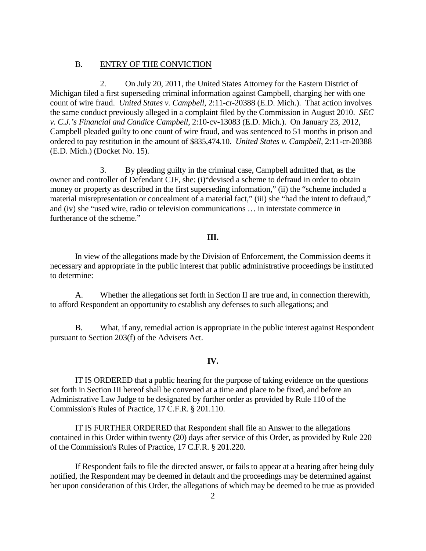#### B. ENTRY OF THE CONVICTION

2. On July 20, 2011, the United States Attorney for the Eastern District of Michigan filed a first superseding criminal information against Campbell, charging her with one count of wire fraud. *United States v. Campbell*, 2:11-cr-20388 (E.D. Mich.). That action involves the same conduct previously alleged in a complaint filed by the Commission in August 2010. *SEC v. C.J.'s Financial and Candice Campbell*, 2:10-cv-13083 (E.D. Mich.). On January 23, 2012, Campbell pleaded guilty to one count of wire fraud, and was sentenced to 51 months in prison and ordered to pay restitution in the amount of \$835,474.10. *United States v. Campbell*, 2:11-cr-20388 (E.D. Mich.) (Docket No. 15).

3. By pleading guilty in the criminal case, Campbell admitted that, as the owner and controller of Defendant CJF, she: (i)"devised a scheme to defraud in order to obtain money or property as described in the first superseding information," (ii) the "scheme included a material misrepresentation or concealment of a material fact," (iii) she "had the intent to defraud," and (iv) she "used wire, radio or television communications … in interstate commerce in furtherance of the scheme."

#### **III.**

In view of the allegations made by the Division of Enforcement, the Commission deems it necessary and appropriate in the public interest that public administrative proceedings be instituted to determine:

A. Whether the allegations set forth in Section II are true and, in connection therewith, to afford Respondent an opportunity to establish any defenses to such allegations; and

B. What, if any, remedial action is appropriate in the public interest against Respondent pursuant to Section 203(f) of the Advisers Act.

#### **IV.**

IT IS ORDERED that a public hearing for the purpose of taking evidence on the questions set forth in Section III hereof shall be convened at a time and place to be fixed, and before an Administrative Law Judge to be designated by further order as provided by Rule 110 of the Commission's Rules of Practice, 17 C.F.R. § 201.110.

IT IS FURTHER ORDERED that Respondent shall file an Answer to the allegations contained in this Order within twenty (20) days after service of this Order, as provided by Rule 220 of the Commission's Rules of Practice, 17 C.F.R. § 201.220.

If Respondent fails to file the directed answer, or fails to appear at a hearing after being duly notified, the Respondent may be deemed in default and the proceedings may be determined against her upon consideration of this Order, the allegations of which may be deemed to be true as provided